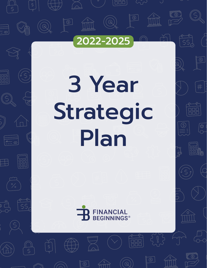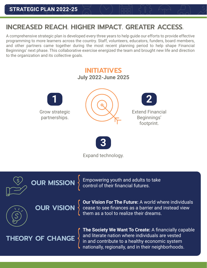## **INCREASED REACH. HIGHER IMPACT. GREATER ACCESS.**

A comprehensive strategic plan is developed every three years to help guide our efforts to provide effective programming to more learners across the country. Staff, volunteers, educators, funders, board members, and other partners came together during the most recent planning period to help shape Financial Beginnings' next phase. This collaborative exercise energized the team and brought new life and direction to the organization and its collective goals.



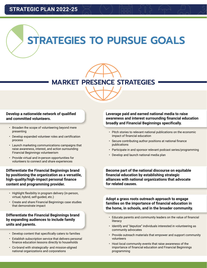## **MARKET PRESENCE STRATEGIES**

## **Develop a nationwide network of qualified and committed volunteers.**

- Broaden the scope of volunteering beyond mere presenting
- Develop expanded volunteer roles and certification process
- Launch marketing communications campaigns that raise awareness, interest, and action surrounding Financial Beginnings volunteerism
- Provide virtual and in-person opportunities for volunteers to connect and share experiences

**Differentiate the Financial Beginnings brand by positioning the organization as a versatile, high-quality/high-impact personal finance content and programming provider.**

- Highlight flexibility in program delivery (in-person, virtual, hybrid, self-guided, etc.)
- Create and share Financial Beginnings case studies that demonstrate impact

## **Differentiate the Financial Beginnings brand by expanding audiences to include family units and parents.**

- Develop content that specifically caters to families
- Establish subscription service that delivers personal finance education lessons directly to households
- Co-brand with strategically- and mission-aligned national organizations and corporations

**Leverage paid and earned national media to raise awareness and interest surrounding financial education broadly and Financial Beginnings specifically.**

- Pitch stories to relevant national publications on the economic impact of financial education
- Secure contributing author positions at national finance publications
- Participate in and sponsor relevant podcast series/programming
- Develop and launch national media plan

**Become part of the national discourse on equitable financial education by establishing strategic alliances with national organizations that advocate for related causes.**

**Adopt a grass roots outreach approach to engage families on the importance of financial education in the home, in schools, and in the broader community.**

- Educate parents and community leaders on the value of financial literacy
- Identify and "deputize" individuals interested in volunteering as community advocates
- Provide outreach materials that empower and support community volunteers
- Host local community events that raise awareness of the importance of financial education and Financial Beginnings programming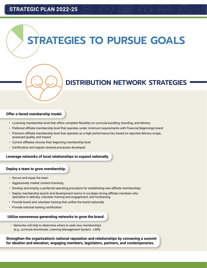

## **DISTRIBUTION NETWORK STRATEGIES**

### **Offer a tiered membership model.**

- Licensing membership level that offers complete flexibility on curricula bundling, branding, and delivery
- Preferred affiliate membership level that operates under minimum requirements with Financial Beginnings brand
- Premium affiliate membership level that operates as a high performance tier, based on reported delivery scope, assessed quality, and impact
- Current affiliates choose their beginning membership level
- Certification and regular renewal processes developed

### **Leverage networks of local relationships to expand nationally.**

### **Deploy a team to grow membership.**

- Secure and equip the team
- Aggressively market content licensing
- Develop and employ a preferred operating procedure for establishing new affiliate memberships
- Deploy membership launch and development teams to incubate strong affiliate members who specialize in delivery, volunteer training and engagement, and fundraising
- Provide board and volunteer training that unifies the brand nationally
- Provide national training certification

## **Utilize nonrevenue generating networks to grow the brand.**

• Networks will help to determine where to seek new memberships (e.g., curricula downloads, Learning Management System - LMS)

**Strengthen the organization's national reputation and relationships by convening a summit for ideation and elevation, engaging members, legislators, partners, and contemporaries.**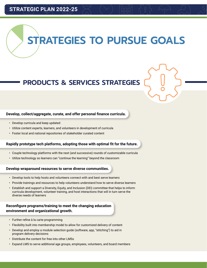## **PRODUCTS & SERVICES STRATEGIES**

### **Develop, collect/aggregate, curate, and offer personal finance curricula.**

- Develop curricula and keep updated
- Utilize content experts, learners, and volunteers in development of curricula
- Foster local and national repositories of stakeholder curated content

### **Rapidly prototype tech platforms, adopting those with optimal fit for the future.**

- Couple technology platforms with the next (and successive) rounds of customizable curricula
- Utilize technology so learners can "continue the learning" beyond the classroom

#### **Develop wraparound resources to serve diverse communities.**

- Develop tools to help hosts and volunteers connect with and best serve learners
- Provide trainings and resources to help volunteers understand how to serve diverse learners
- Establish and support a Diversity, Equity, and Inclusion (DEI) committee that helps to inform curricula development, volunteer training, and host interactions that will in turn serve the diverse needs of learners

## **Reconfigure programs/training to meet the changing education environment and organizational growth.**

- Further refine à la carte programming
- Flexibility built into membership model to allow for customized delivery of content
- Develop and employ a module selection guide (software, app, "stitching") to aid in program delivery decisions
- Distribute the content for free into other LMSs
- Expand LMS to serve additional age groups, employees, volunteers, and board members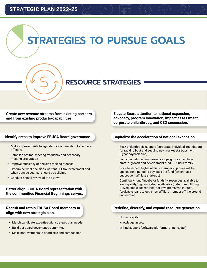

## **RESOURCE STRATEGIES**

**Create new revenue streams from existing partners and from existing products/capabilities.**

### **Identify areas to improve FBUSA Board governance.**

- Make improvements to agenda for each meeting to be more effective
- Establish optimal meeting frequency and necessary meeting preparation
- Improve efficiency of decision-making process
- Determine what decisions warrant FBUSA involvement and when outside counsel should be solicited
- Conduct annual review of the bylaws

**Better align FBUSA Board representation with the communities Financial Beginnings serves.**

**Recruit and retain FBUSA Board members to align with new strategic plan.**

- Match candidate expertise with strategic plan needs
- Build out board governance committee
- Make improvements to board size and composition

**Elevate Board attention to national expansion, advocacy, program innovation, impact assessment, corporate philanthropy, and CEO succession.**

## **Capitalize the acceleration of national expansion.**

- Seek philanthropic support (corporate, individual, foundation) for rapid roll-out and seeding new market start-ups (with 3-year payback plan)
- Launch a national fundraising campaign for an affiliate startup, growth and development fund  $-$  "fund a family"
- Once launched, higher affiliate membership dues will be applied for a period to pay back the fund (which fuels subsequent affiliate start-ups)
- Continually fund "incubator funds" resources available to low capacity/high importance affiliates (determined through DEI/equitable access lens) for low-interest/no-interest/ forgivable loans to get a new affiliate member off the ground and earning

## **Redefine, diversify, and expand resource generation.**

- Human capital
- Knowledge assets
- In-kind support (software platforms, printing, etc.)